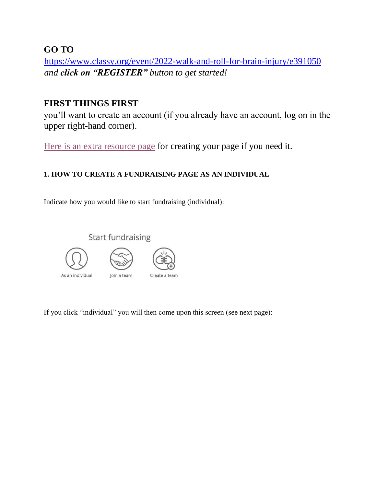**GO TO** 

<https://www.classy.org/event/2022-walk-and-roll-for-brain-injury/e391050> *and click on "REGISTER" button to get started!* 

# **FIRST THINGS FIRST**

you'll want to create an account (if you already have an account, log on in the upper right-hand corner).

[Here is an extra resource page](https://support.classy.org/s/article/how-to-create-and-edit-a-personal-fundraising-page#:~:text=To%20create%20a%20fundraising%20page%2C%20click%20the%20fundraise%20button%20on,or%20%E2%80%9Cbecome%20a%20fundraiser.%E2%80%9D) for creating your page if you need it.

## **1. HOW TO CREATE A FUNDRAISING PAGE AS AN INDIVIDUAL**

Indicate how you would like to start fundraising (individual):



If you click "individual" you will then come upon this screen (see next page):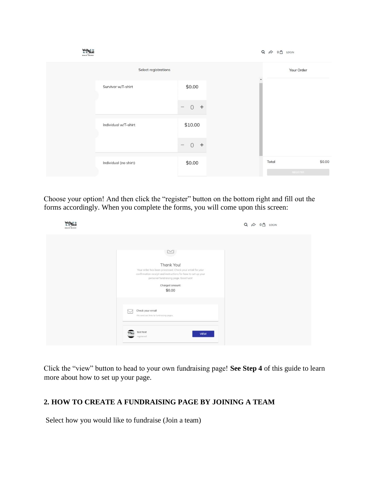

Choose your option! And then click the "register" button on the bottom right and fill out the forms accordingly. When you complete the forms, you will come upon this screen:

| Walke. <sup>ft</sup><br>$\pm$ <b>Pol</b><br><b>BRAIN INJURY</b> |                                                                                                                                                                                                              | LOGIN<br>$\Omega$ |
|-----------------------------------------------------------------|--------------------------------------------------------------------------------------------------------------------------------------------------------------------------------------------------------------|-------------------|
|                                                                 |                                                                                                                                                                                                              |                   |
|                                                                 | Thank You!<br>Your order has been processed. Check your email for your<br>confirmation receipt and instructions for how to set up your<br>personal fundraising page. Good luck!<br>Charged amount:<br>\$0.00 |                   |
|                                                                 | Check your email<br>ℕ<br>We send out links to fundraising pages.                                                                                                                                             |                   |
|                                                                 | test test<br><b>VIEW</b><br>registered!                                                                                                                                                                      |                   |

Click the "view" button to head to your own fundraising page! **See Step 4** of this guide to learn more about how to set up your page.

#### **2. HOW TO CREATE A FUNDRAISING PAGE BY JOINING A TEAM**

Select how you would like to fundraise (Join a team)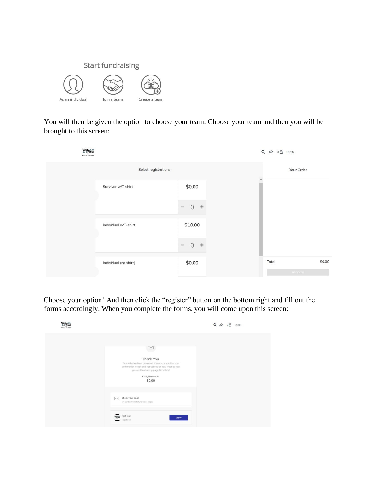

You will then be given the option to choose your team. Choose your team and then you will be brought to this screen:



Choose your option! And then click the "register" button on the bottom right and fill out the forms accordingly. When you complete the forms, you will come upon this screen:

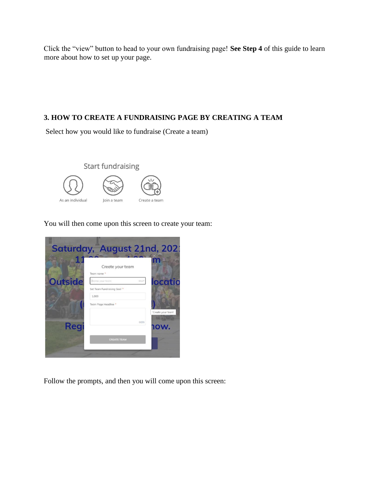Click the "view" button to head to your own fundraising page! **See Step 4** of this guide to learn more about how to set up your page.

### **3. HOW TO CREATE A FUNDRAISING PAGE BY CREATING A TEAM**

Select how you would like to fundraise (Create a team)



You will then come upon this screen to create your team:



Follow the prompts, and then you will come upon this screen: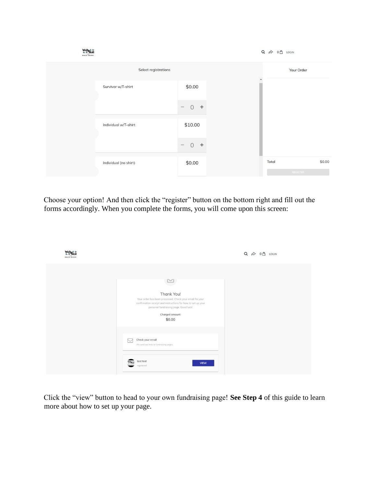

Choose your option! And then click the "register" button on the bottom right and fill out the forms accordingly. When you complete the forms, you will come upon this screen:

| Walls<br><b>Roll</b><br><b>BRAIR INJURY</b> |                                                                                                                                                                                                              | LOGIN<br>0 <sub>n</sub> |
|---------------------------------------------|--------------------------------------------------------------------------------------------------------------------------------------------------------------------------------------------------------------|-------------------------|
|                                             | Thank You!<br>Your order has been processed. Check your email for your<br>confirmation receipt and instructions for how to set up your<br>personal fundraising page. Good luck!<br>Charged amount:<br>\$0.00 |                         |
|                                             | Check your email<br>$\overline{\phantom{a}}$<br>We send out links to fundraising pages.                                                                                                                      |                         |
|                                             | test test<br><b>VIEW</b><br>registered!                                                                                                                                                                      |                         |

Click the "view" button to head to your own fundraising page! **See Step 4** of this guide to learn more about how to set up your page.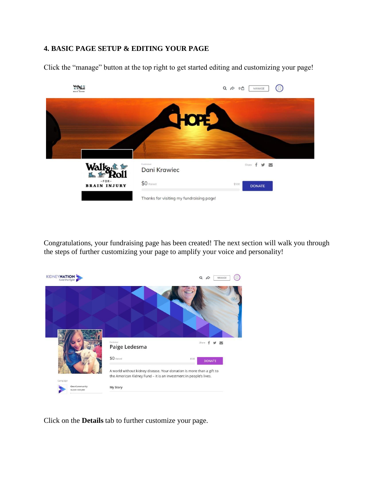### **4. BASIC PAGE SETUP & EDITING YOUR PAGE**

Click the "manage" button at the top right to get started editing and customizing your page!



Congratulations, your fundraising page has been created! The next section will walk you through the steps of further customizing your page to amplify your voice and personality!



Click on the **Details** tab to further customize your page.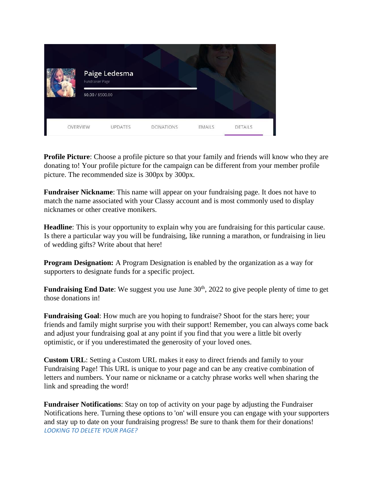|          | Fundraiser Page   | Paige Ledesma  |                  |               |                |
|----------|-------------------|----------------|------------------|---------------|----------------|
|          | \$0.00 / \$500.00 |                |                  |               |                |
| OVERVIEW |                   | <b>UPDATES</b> | <b>DONATIONS</b> | <b>EMAILS</b> | <b>DETAILS</b> |

**Profile Picture**: Choose a profile picture so that your family and friends will know who they are donating to! Your profile picture for the campaign can be different from your member profile picture. The recommended size is 300px by 300px.

**Fundraiser Nickname**: This name will appear on your fundraising page. It does not have to match the name associated with your Classy account and is most commonly used to display nicknames or other creative monikers.

**Headline**: This is your opportunity to explain why you are fundraising for this particular cause. Is there a particular way you will be fundraising, like running a marathon, or fundraising in lieu of wedding gifts? Write about that here!

**Program Designation:** A Program Designation is enabled by the organization as a way for supporters to designate funds for a specific project.

**Fundraising End Date**: We suggest you use June 30<sup>th</sup>, 2022 to give people plenty of time to get those donations in!

**Fundraising Goal:** How much are you hoping to fundraise? Shoot for the stars here; your friends and family might surprise you with their support! Remember, you can always come back and adjust your fundraising goal at any point if you find that you were a little bit overly optimistic, or if you underestimated the generosity of your loved ones.

**Custom URL**: Setting a Custom URL makes it easy to direct friends and family to your Fundraising Page! This URL is unique to your page and can be any creative combination of letters and numbers. Your name or nickname or a catchy phrase works well when sharing the link and spreading the word!

**Fundraiser Notifications**: Stay on top of activity on your page by adjusting the Fundraiser Notifications here. Turning these options to 'on' will ensure you can engage with your supporters and stay up to date on your fundraising progress! Be sure to thank them for their donations! *LOOKING TO DELETE YOUR PAGE?*